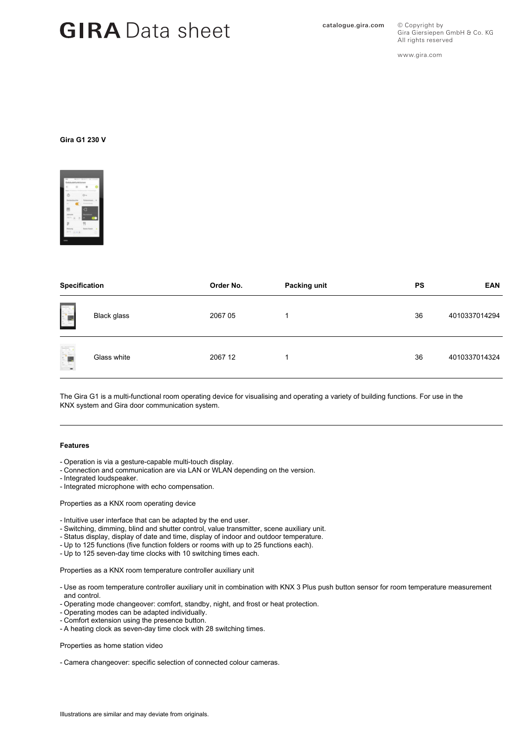# GIRA Data sheet **GIRA** Data sheet

All rights reserved www.gira.com

Gira Giersiepen GmbH & Co. KG

© Copyright by

### **Gira G1 230 V**



| <b>Specification</b> |             | Order No. | Packing unit | <b>PS</b> | <b>EAN</b>    |
|----------------------|-------------|-----------|--------------|-----------|---------------|
|                      | Black glass | 2067 05   | и            | 36        | 4010337014294 |
| rij                  | Glass white | 2067 12   | и            | 36        | 4010337014324 |

The Gira G1 is a multi-functional room operating device for visualising and operating a variety of building functions. For use in the KNX system and Gira door communication system.

#### **Features**

- Operation is via a gesture-capable multi-touch display.
- Connection and communication are via LAN or WLAN depending on the version.
- Integrated loudspeaker.
- Integrated microphone with echo compensation.

Properties as a KNX room operating device

- Intuitive user interface that can be adapted by the end user.
- Switching, dimming, blind and shutter control, value transmitter, scene auxiliary unit.
- Status display, display of date and time, display of indoor and outdoor temperature.
- Up to 125 functions (five function folders or rooms with up to 25 functions each).
- Up to 125 seven-day time clocks with 10 switching times each.

Properties as a KNX room temperature controller auxiliary unit

- Use as room temperature controller auxiliary unit in combination with KNX 3 Plus push button sensor for room temperature measurement and control.
- Operating mode changeover: comfort, standby, night, and frost or heat protection.
- Operating modes can be adapted individually.
- Comfort extension using the presence button.
- A heating clock as seven-day time clock with 28 switching times.

Properties as home station video

- Camera changeover: specific selection of connected colour cameras.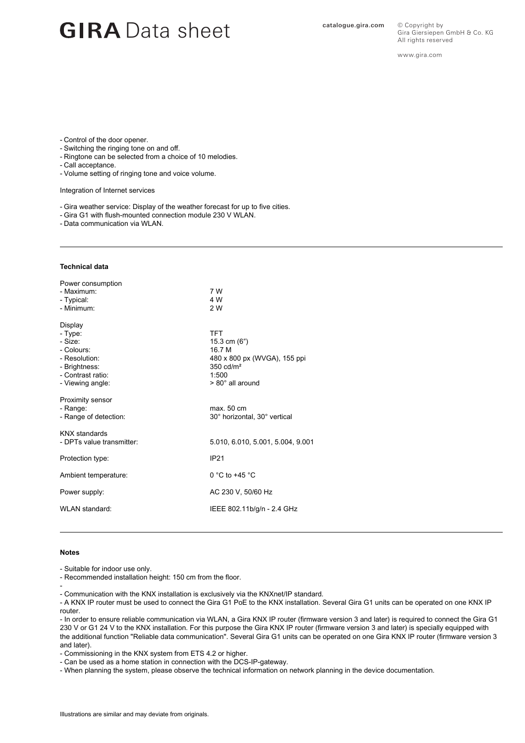## GIRA Data sheet **GIRA** Data sheet

© Copyright by Gira Giersiepen GmbH & Co. KG All rights reserved

www.gira.com

- Control of the door opener.
- Switching the ringing tone on and off.
- Ringtone can be selected from a choice of 10 melodies.
- Call acceptance.
- Volume setting of ringing tone and voice volume.

Integration of Internet services

- Gira weather service: Display of the weather forecast for up to five cities.
- Gira G1 with flush-mounted connection module 230 V WLAN.

- Data communication via WLAN.

#### **Technical data**

| Power consumption<br>- Maximum:<br>- Typical:<br>- Minimum:                                                            | 7 W<br>4 W<br>2 W                                                                                                                  |
|------------------------------------------------------------------------------------------------------------------------|------------------------------------------------------------------------------------------------------------------------------------|
| Display<br>- Type:<br>- Size:<br>- Colours:<br>- Resolution:<br>- Brightness:<br>- Contrast ratio:<br>- Viewing angle: | <b>TFT</b><br>15.3 cm $(6")$<br>16 7 M<br>480 x 800 px (WVGA), 155 ppi<br>$350 \text{ cd/m}^2$<br>1:500<br>$> 80^\circ$ all around |
| <b>Proximity sensor</b><br>- Range:<br>- Range of detection:                                                           | max. 50 cm<br>30° horizontal, 30° vertical                                                                                         |
| <b>KNX</b> standards<br>- DPTs value transmitter:                                                                      | 5.010, 6.010, 5.001, 5.004, 9.001                                                                                                  |
| Protection type:                                                                                                       | <b>IP21</b>                                                                                                                        |
| Ambient temperature:                                                                                                   | 0 °C to +45 $\degree$ C                                                                                                            |
| Power supply:                                                                                                          | AC 230 V, 50/60 Hz                                                                                                                 |
| WLAN standard:                                                                                                         | IEEE 802.11b/g/n - 2.4 GHz                                                                                                         |

#### **Notes**

- Suitable for indoor use only.

- Recommended installation height: 150 cm from the floor.

-

- Communication with the KNX installation is exclusively via the KNXnet/IP standard.

- A KNX IP router must be used to connect the Gira G1 PoE to the KNX installation. Several Gira G1 units can be operated on one KNX IP router.

- In order to ensure reliable communication via WLAN, a Gira KNX IP router (firmware version 3 and later) is required to connect the Gira G1 230 V or G1 24 V to the KNX installation. For this purpose the Gira KNX IP router (firmware version 3 and later) is specially equipped with the additional function "Reliable data communication". Several Gira G1 units can be operated on one Gira KNX IP router (firmware version 3 and later).

- Commissioning in the KNX system from ETS 4.2 or higher.

- Can be used as a home station in connection with the DCS-IP-gateway.

- When planning the system, please observe the technical information on network planning in the device documentation.